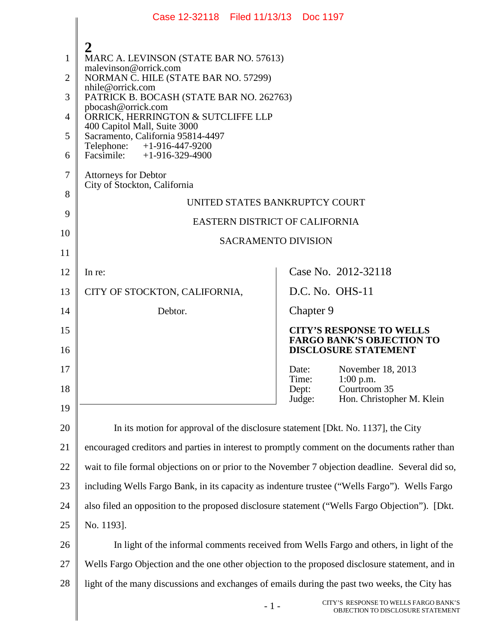|                | Case 12-32118 Filed 11/13/13 Doc 1197                                                            |                                                                            |  |
|----------------|--------------------------------------------------------------------------------------------------|----------------------------------------------------------------------------|--|
|                |                                                                                                  |                                                                            |  |
| 1              | MARC A. LEVINSON (STATE BAR NO. 57613)                                                           |                                                                            |  |
| $\overline{2}$ | malevinson@orrick.com<br>NORMAN C. HILE (STATE BAR NO. 57299)                                    |                                                                            |  |
| 3              | nhile@orrick.com<br>PATRICK B. BOCASH (STATE BAR NO. 262763)                                     |                                                                            |  |
| $\overline{4}$ | pbocash@orrick.com<br>ORRICK, HERRINGTON & SUTCLIFFE LLP                                         |                                                                            |  |
| 5              | 400 Capitol Mall, Suite 3000<br>Sacramento, California 95814-4497                                |                                                                            |  |
| 6              | Telephone: +1-916-447-9200<br>Facsimile: $+1-916-329-4900$                                       |                                                                            |  |
| $\overline{7}$ | <b>Attorneys for Debtor</b><br>City of Stockton, California                                      |                                                                            |  |
| 8              | UNITED STATES BANKRUPTCY COURT                                                                   |                                                                            |  |
| 9              | EASTERN DISTRICT OF CALIFORNIA                                                                   |                                                                            |  |
| 10             | <b>SACRAMENTO DIVISION</b>                                                                       |                                                                            |  |
| 11             |                                                                                                  |                                                                            |  |
| 12             | In re:                                                                                           | Case No. 2012-32118                                                        |  |
| 13             | CITY OF STOCKTON, CALIFORNIA,                                                                    | D.C. No. OHS-11                                                            |  |
| 14             | Debtor.                                                                                          | Chapter 9                                                                  |  |
| 15             |                                                                                                  | <b>CITY'S RESPONSE TO WELLS</b><br><b>FARGO BANK'S OBJECTION TO</b>        |  |
| 16             |                                                                                                  | <b>DISCLOSURE STATEMENT</b>                                                |  |
| 17             |                                                                                                  | November 18, 2013<br>Date:<br>Time:<br>1:00 p.m.                           |  |
| 18             |                                                                                                  | Courtroom 35<br>Dept:                                                      |  |
| 19             |                                                                                                  | Hon. Christopher M. Klein<br>Judge:                                        |  |
| 20             | In its motion for approval of the disclosure statement [Dkt. No. 1137], the City                 |                                                                            |  |
| 21             | encouraged creditors and parties in interest to promptly comment on the documents rather than    |                                                                            |  |
| 22             | wait to file formal objections on or prior to the November 7 objection deadline. Several did so, |                                                                            |  |
| 23             | including Wells Fargo Bank, in its capacity as indenture trustee ("Wells Fargo"). Wells Fargo    |                                                                            |  |
| 24             | also filed an opposition to the proposed disclosure statement ("Wells Fargo Objection"). [Dkt.   |                                                                            |  |
| 25             | No. 1193].                                                                                       |                                                                            |  |
| 26             | In light of the informal comments received from Wells Fargo and others, in light of the          |                                                                            |  |
| 27             | Wells Fargo Objection and the one other objection to the proposed disclosure statement, and in   |                                                                            |  |
| 28             | light of the many discussions and exchanges of emails during the past two weeks, the City has    |                                                                            |  |
|                | $-1-$                                                                                            | CITY'S RESPONSE TO WELLS FARGO BANK'S<br>OBJECTION TO DISCLOSURE STATEMENT |  |